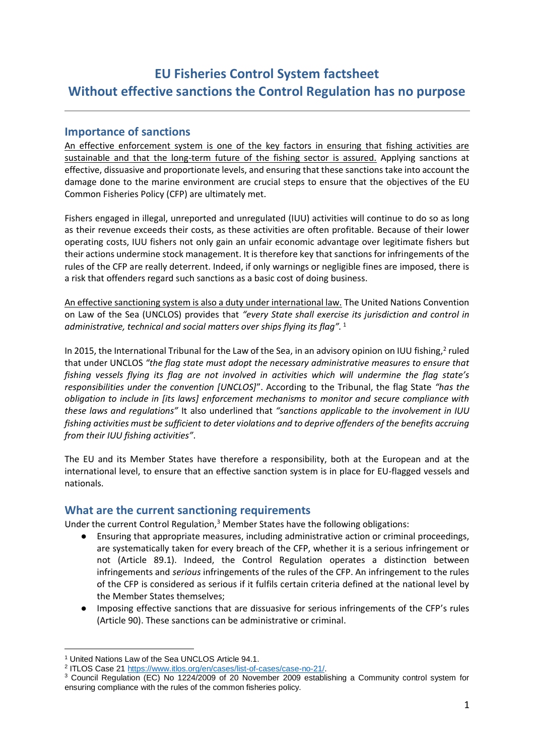# **EU Fisheries Control System factsheet Without effective sanctions the Control Regulation has no purpose**

#### **Importance of sanctions**

An effective enforcement system is one of the key factors in ensuring that fishing activities are sustainable and that the long-term future of the fishing sector is assured. Applying sanctions at effective, dissuasive and proportionate levels, and ensuring that these sanctions take into account the damage done to the marine environment are crucial steps to ensure that the objectives of the EU Common Fisheries Policy (CFP) are ultimately met.

Fishers engaged in illegal, unreported and unregulated (IUU) activities will continue to do so as long as their revenue exceeds their costs, as these activities are often profitable. Because of their lower operating costs, IUU fishers not only gain an unfair economic advantage over legitimate fishers but their actions undermine stock management. It is therefore key that sanctions for infringements of the rules of the CFP are really deterrent. Indeed, if only warnings or negligible fines are imposed, there is a risk that offenders regard such sanctions as a basic cost of doing business.

An effective sanctioning system is also a duty under international law. The United Nations Convention on Law of the Sea (UNCLOS) provides that *"every State shall exercise its jurisdiction and control in administrative, technical and social matters over ships flying its flag".* <sup>1</sup>

In 2015, the International Tribunal for the Law of the Sea, in an advisory opinion on IUU fishing,<sup>2</sup> ruled that under UNCLOS *"the flag state must adopt the necessary administrative measures to ensure that fishing vessels flying its flag are not involved in activities which will undermine the flag state's responsibilities under the convention [UNCLOS]*". According to the Tribunal, the flag State *"has the obligation to include in [its laws] enforcement mechanisms to monitor and secure compliance with these laws and regulations"* It also underlined that *"sanctions applicable to the involvement in IUU fishing activities must be sufficient to deter violations and to deprive offenders of the benefits accruing from their IUU fishing activities"*.

The EU and its Member States have therefore a responsibility, both at the European and at the international level, to ensure that an effective sanction system is in place for EU-flagged vessels and nationals.

#### **What are the current sanctioning requirements**

Under the current Control Regulation,<sup>3</sup> Member States have the following obligations:

- Ensuring that appropriate measures, including administrative action or criminal proceedings, are systematically taken for every breach of the CFP, whether it is a serious infringement or not (Article 89.1). Indeed, the Control Regulation operates a distinction between infringements and *serious* infringements of the rules of the CFP. An infringement to the rules of the CFP is considered as serious if it fulfils certain criteria defined at the national level by the Member States themselves;
- Imposing effective sanctions that are dissuasive for serious infringements of the CFP's rules (Article 90). These sanctions can be administrative or criminal.

l

<sup>1</sup> United Nations Law of the Sea UNCLOS Article 94.1.

<sup>&</sup>lt;sup>2</sup> ITLOS Case 21 [https://www.itlos.org/en/cases/list-of-cases/case-no-21/.](https://www.itlos.org/en/cases/list-of-cases/case-no-21/)

<sup>3</sup> Council Regulation (EC) No 1224/2009 of 20 November 2009 establishing a Community control system for ensuring compliance with the rules of the common fisheries policy.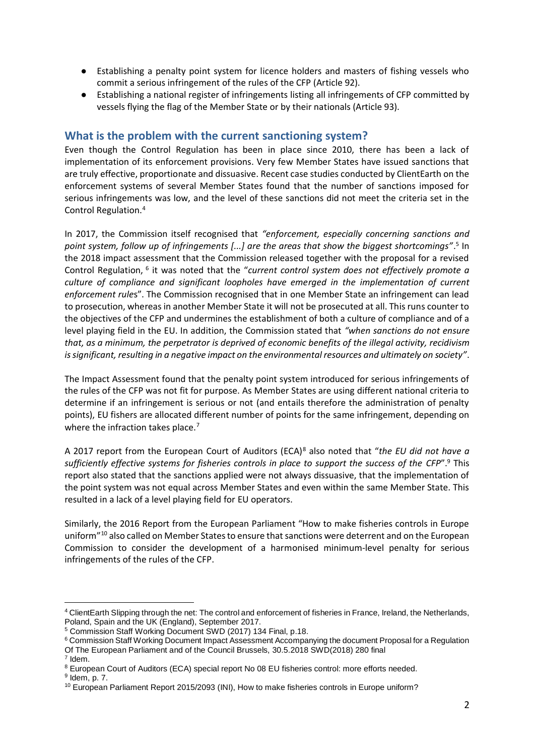- Establishing a penalty point system for licence holders and masters of fishing vessels who commit a serious infringement of the rules of the CFP (Article 92).
- Establishing a national register of infringements listing all infringements of CFP committed by vessels flying the flag of the Member State or by their nationals (Article 93).

#### **What is the problem with the current sanctioning system?**

Even though the Control Regulation has been in place since 2010, there has been a lack of implementation of its enforcement provisions. Very few Member States have issued sanctions that are truly effective, proportionate and dissuasive. Recent case studies conducted by ClientEarth on the enforcement systems of several Member States found that the number of sanctions imposed for serious infringements was low, and the level of these sanctions did not meet the criteria set in the Control Regulation.<sup>4</sup>

In 2017, the Commission itself recognised that *"enforcement, especially concerning sanctions and point system, follow up of infringements [...] are the areas that show the biggest shortcomings"*. 5 In the 2018 impact assessment that the Commission released together with the proposal for a revised Control Regulation, <sup>6</sup> it was noted that the "*current control system does not effectively promote a culture of compliance and significant loopholes have emerged in the implementation of current enforcement rule*s". The Commission recognised that in one Member State an infringement can lead to prosecution, whereas in another Member State it will not be prosecuted at all. This runs counter to the objectives of the CFP and undermines the establishment of both a culture of compliance and of a level playing field in the EU. In addition, the Commission stated that *"when sanctions do not ensure that, as a minimum, the perpetrator is deprived of economic benefits of the illegal activity, recidivism is significant, resulting in a negative impact on the environmental resources and ultimately on society"*.

The Impact Assessment found that the penalty point system introduced for serious infringements of the rules of the CFP was not fit for purpose. As Member States are using different national criteria to determine if an infringement is serious or not (and entails therefore the administration of penalty points), EU fishers are allocated different number of points for the same infringement, depending on where the infraction takes place.<sup>7</sup>

A 2017 report from the European Court of Auditors (ECA)<sup>8</sup> also noted that "*the EU did not have a sufficiently effective systems for fisheries controls in place to support the success of the CFP*".<sup>9</sup> This report also stated that the sanctions applied were not always dissuasive, that the implementation of the point system was not equal across Member States and even within the same Member State. This resulted in a lack of a level playing field for EU operators.

Similarly, the 2016 Report from the European Parliament "How to make fisheries controls in Europe uniform"<sup>10</sup> also called on Member States to ensure that sanctions were deterrent and on the European Commission to consider the development of a harmonised minimum-level penalty for serious infringements of the rules of the CFP.

l

<sup>4</sup> ClientEarth Slipping through the net: The control and enforcement of fisheries in France, Ireland, the Netherlands, Poland, Spain and the UK (England), September 2017.

<sup>5</sup> Commission Staff Working Document SWD (2017) 134 Final, p.18.

<sup>&</sup>lt;sup>6</sup> Commission Staff Working Document Impact Assessment Accompanying the document Proposal for a Regulation Of The European Parliament and of the Council Brussels, 30.5.2018 SWD(2018) 280 final

<sup>7</sup> Idem.

<sup>8</sup> European Court of Auditors (ECA) special report No 08 EU fisheries control: more efforts needed. <sup>9</sup> Idem, p. 7.

<sup>&</sup>lt;sup>10</sup> European Parliament Report 2015/2093 (INI), How to make fisheries controls in Europe uniform?